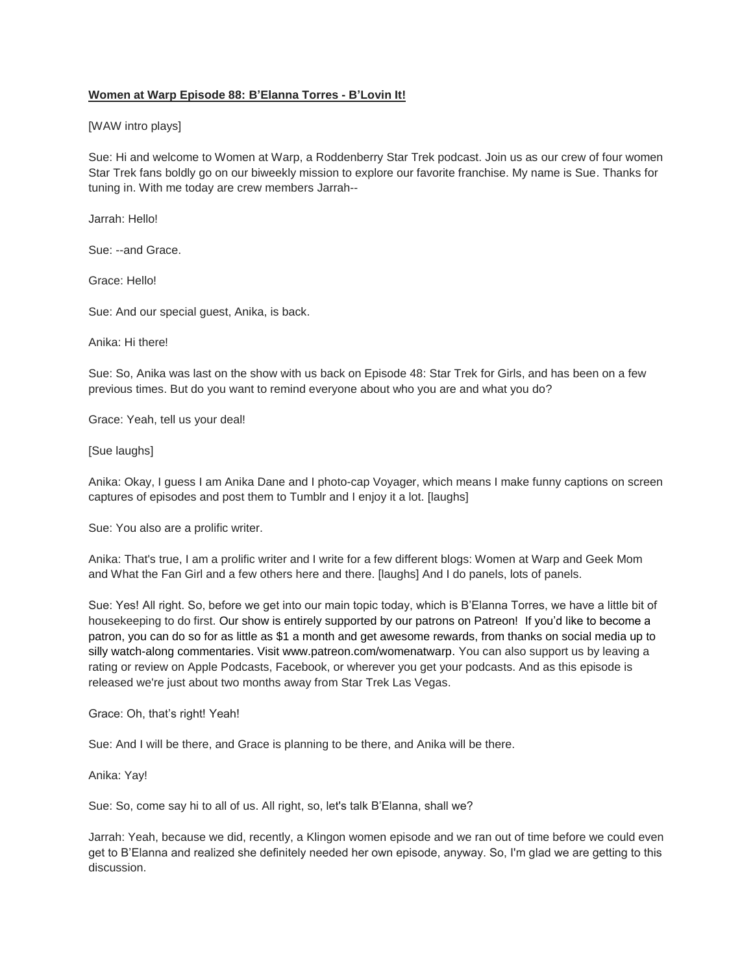## **Women at Warp Episode 88: B'Elanna Torres - B'Lovin It!**

### [WAW intro plays]

Sue: Hi and welcome to Women at Warp, a Roddenberry Star Trek podcast. Join us as our crew of four women Star Trek fans boldly go on our biweekly mission to explore our favorite franchise. My name is Sue. Thanks for tuning in. With me today are crew members Jarrah--

Jarrah: Hello!

Sue: --and Grace.

Grace: Hello!

Sue: And our special guest, Anika, is back.

Anika: Hi there!

Sue: So, Anika was last on the show with us back on Episode 48: Star Trek for Girls, and has been on a few previous times. But do you want to remind everyone about who you are and what you do?

Grace: Yeah, tell us your deal!

[Sue laughs]

Anika: Okay, I guess I am Anika Dane and I photo-cap Voyager, which means I make funny captions on screen captures of episodes and post them to Tumblr and I enjoy it a lot. [laughs]

Sue: You also are a prolific writer.

Anika: That's true, I am a prolific writer and I write for a few different blogs: Women at Warp and Geek Mom and What the Fan Girl and a few others here and there. [laughs] And I do panels, lots of panels.

Sue: Yes! All right. So, before we get into our main topic today, which is B'Elanna Torres, we have a little bit of housekeeping to do first. Our show is entirely supported by our patrons on Patreon! If you'd like to become a patron, you can do so for as little as \$1 a month and get awesome rewards, from thanks on social media up to silly watch-along commentaries. Visit www.patreon.com/womenatwarp. You can also support us by leaving a rating or review on Apple Podcasts, Facebook, or wherever you get your podcasts. And as this episode is released we're just about two months away from Star Trek Las Vegas.

Grace: Oh, that's right! Yeah!

Sue: And I will be there, and Grace is planning to be there, and Anika will be there.

Anika: Yay!

Sue: So, come say hi to all of us. All right, so, let's talk B'Elanna, shall we?

Jarrah: Yeah, because we did, recently, a Klingon women episode and we ran out of time before we could even get to B'Elanna and realized she definitely needed her own episode, anyway. So, I'm glad we are getting to this discussion.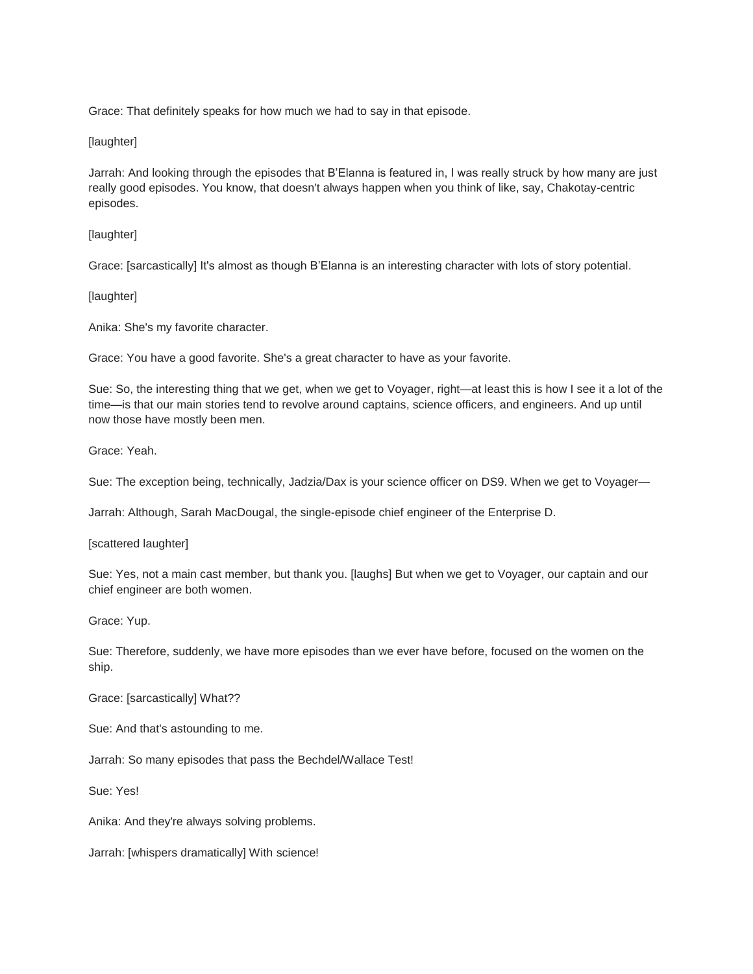Grace: That definitely speaks for how much we had to say in that episode.

## [laughter]

Jarrah: And looking through the episodes that B'Elanna is featured in, I was really struck by how many are just really good episodes. You know, that doesn't always happen when you think of like, say, Chakotay-centric episodes.

## [laughter]

Grace: [sarcastically] It's almost as though B'Elanna is an interesting character with lots of story potential.

## [laughter]

Anika: She's my favorite character.

Grace: You have a good favorite. She's a great character to have as your favorite.

Sue: So, the interesting thing that we get, when we get to Voyager, right—at least this is how I see it a lot of the time—is that our main stories tend to revolve around captains, science officers, and engineers. And up until now those have mostly been men.

Grace: Yeah.

Sue: The exception being, technically, Jadzia/Dax is your science officer on DS9. When we get to Voyager—

Jarrah: Although, Sarah MacDougal, the single-episode chief engineer of the Enterprise D.

[scattered laughter]

Sue: Yes, not a main cast member, but thank you. [laughs] But when we get to Voyager, our captain and our chief engineer are both women.

Grace: Yup.

Sue: Therefore, suddenly, we have more episodes than we ever have before, focused on the women on the ship.

Grace: [sarcastically] What??

Sue: And that's astounding to me.

Jarrah: So many episodes that pass the Bechdel/Wallace Test!

Sue: Yes!

Anika: And they're always solving problems.

Jarrah: [whispers dramatically] With science!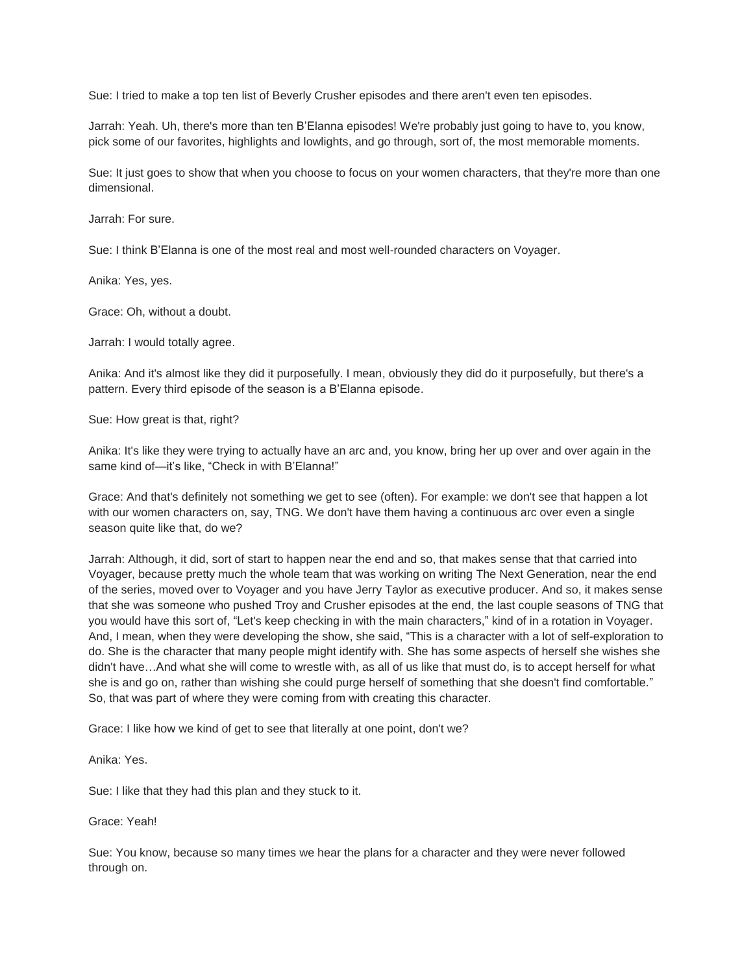Sue: I tried to make a top ten list of Beverly Crusher episodes and there aren't even ten episodes.

Jarrah: Yeah. Uh, there's more than ten B'Elanna episodes! We're probably just going to have to, you know, pick some of our favorites, highlights and lowlights, and go through, sort of, the most memorable moments.

Sue: It just goes to show that when you choose to focus on your women characters, that they're more than one dimensional.

Jarrah: For sure.

Sue: I think B'Elanna is one of the most real and most well-rounded characters on Voyager.

Anika: Yes, yes.

Grace: Oh, without a doubt.

Jarrah: I would totally agree.

Anika: And it's almost like they did it purposefully. I mean, obviously they did do it purposefully, but there's a pattern. Every third episode of the season is a B'Elanna episode.

Sue: How great is that, right?

Anika: It's like they were trying to actually have an arc and, you know, bring her up over and over again in the same kind of-it's like, "Check in with B'Elanna!"

Grace: And that's definitely not something we get to see (often). For example: we don't see that happen a lot with our women characters on, say, TNG. We don't have them having a continuous arc over even a single season quite like that, do we?

Jarrah: Although, it did, sort of start to happen near the end and so, that makes sense that that carried into Voyager, because pretty much the whole team that was working on writing The Next Generation, near the end of the series, moved over to Voyager and you have Jerry Taylor as executive producer. And so, it makes sense that she was someone who pushed Troy and Crusher episodes at the end, the last couple seasons of TNG that you would have this sort of, "Let's keep checking in with the main characters," kind of in a rotation in Voyager. And, I mean, when they were developing the show, she said, "This is a character with a lot of self-exploration to do. She is the character that many people might identify with. She has some aspects of herself she wishes she didn't have…And what she will come to wrestle with, as all of us like that must do, is to accept herself for what she is and go on, rather than wishing she could purge herself of something that she doesn't find comfortable." So, that was part of where they were coming from with creating this character.

Grace: I like how we kind of get to see that literally at one point, don't we?

Anika: Yes.

Sue: I like that they had this plan and they stuck to it.

Grace: Yeah!

Sue: You know, because so many times we hear the plans for a character and they were never followed through on.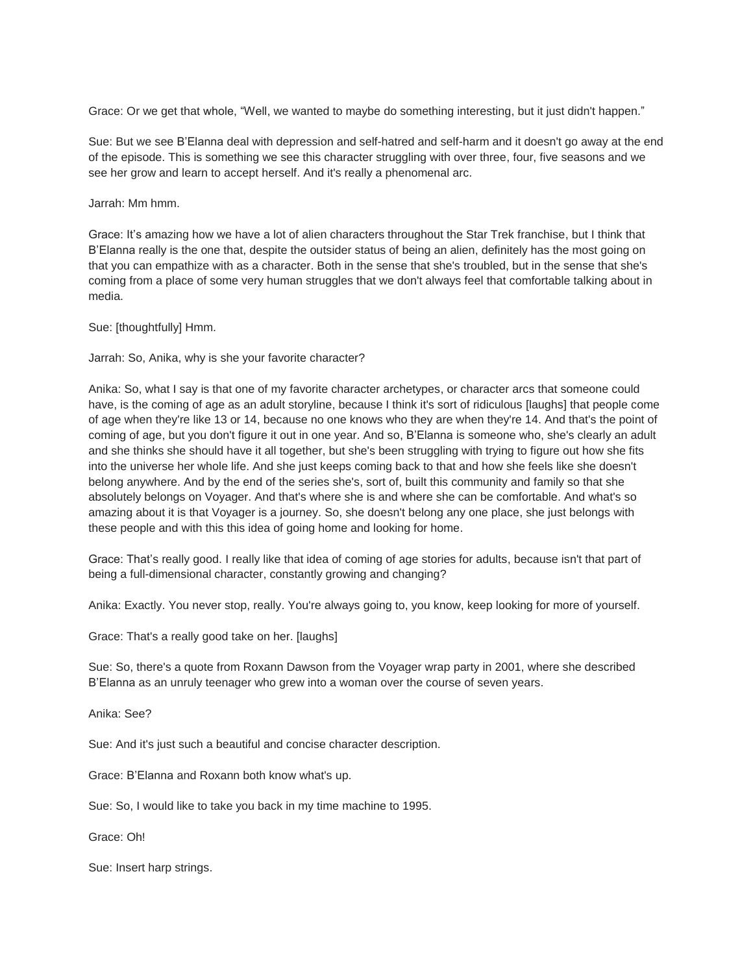Grace: Or we get that whole, "Well, we wanted to maybe do something interesting, but it just didn't happen."

Sue: But we see B'Elanna deal with depression and self-hatred and self-harm and it doesn't go away at the end of the episode. This is something we see this character struggling with over three, four, five seasons and we see her grow and learn to accept herself. And it's really a phenomenal arc.

Jarrah: Mm hmm.

Grace: It's amazing how we have a lot of alien characters throughout the Star Trek franchise, but I think that B'Elanna really is the one that, despite the outsider status of being an alien, definitely has the most going on that you can empathize with as a character. Both in the sense that she's troubled, but in the sense that she's coming from a place of some very human struggles that we don't always feel that comfortable talking about in media.

Sue: [thoughtfully] Hmm.

Jarrah: So, Anika, why is she your favorite character?

Anika: So, what I say is that one of my favorite character archetypes, or character arcs that someone could have, is the coming of age as an adult storyline, because I think it's sort of ridiculous [laughs] that people come of age when they're like 13 or 14, because no one knows who they are when they're 14. And that's the point of coming of age, but you don't figure it out in one year. And so, B'Elanna is someone who, she's clearly an adult and she thinks she should have it all together, but she's been struggling with trying to figure out how she fits into the universe her whole life. And she just keeps coming back to that and how she feels like she doesn't belong anywhere. And by the end of the series she's, sort of, built this community and family so that she absolutely belongs on Voyager. And that's where she is and where she can be comfortable. And what's so amazing about it is that Voyager is a journey. So, she doesn't belong any one place, she just belongs with these people and with this this idea of going home and looking for home.

Grace: That's really good. I really like that idea of coming of age stories for adults, because isn't that part of being a full-dimensional character, constantly growing and changing?

Anika: Exactly. You never stop, really. You're always going to, you know, keep looking for more of yourself.

Grace: That's a really good take on her. [laughs]

Sue: So, there's a quote from Roxann Dawson from the Voyager wrap party in 2001, where she described B'Elanna as an unruly teenager who grew into a woman over the course of seven years.

Anika: See?

Sue: And it's just such a beautiful and concise character description.

Grace: B'Elanna and Roxann both know what's up.

Sue: So, I would like to take you back in my time machine to 1995.

Grace: Oh!

Sue: Insert harp strings.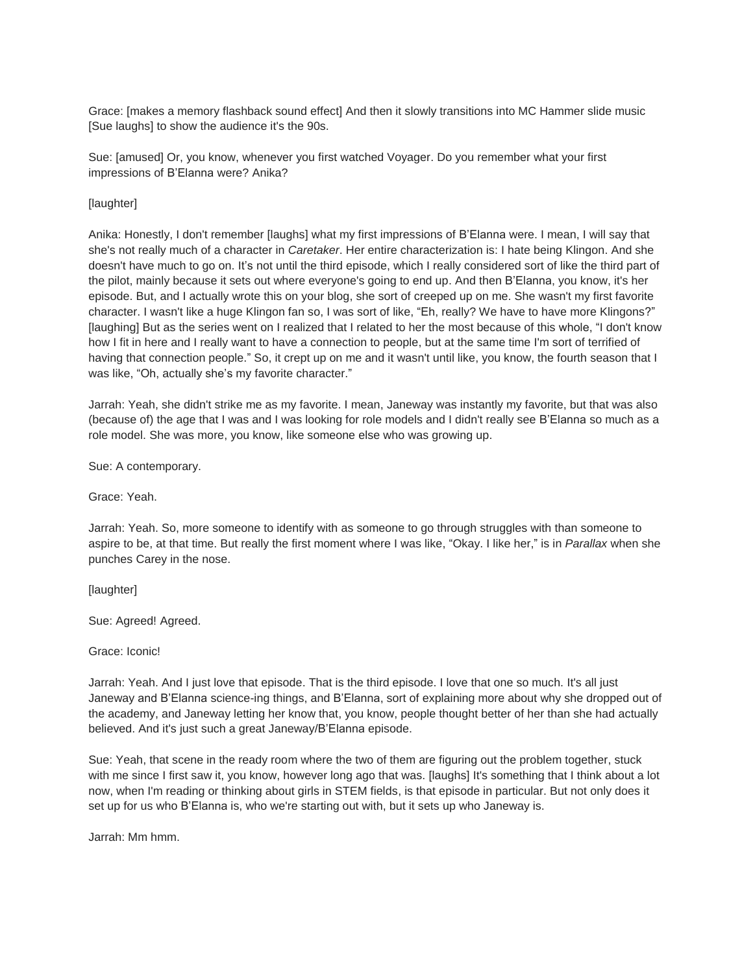Grace: [makes a memory flashback sound effect] And then it slowly transitions into MC Hammer slide music [Sue laughs] to show the audience it's the 90s.

Sue: [amused] Or, you know, whenever you first watched Voyager. Do you remember what your first impressions of B'Elanna were? Anika?

# [laughter]

Anika: Honestly, I don't remember [laughs] what my first impressions of B'Elanna were. I mean, I will say that she's not really much of a character in *Caretaker*. Her entire characterization is: I hate being Klingon. And she doesn't have much to go on. It's not until the third episode, which I really considered sort of like the third part of the pilot, mainly because it sets out where everyone's going to end up. And then B'Elanna, you know, it's her episode. But, and I actually wrote this on your blog, she sort of creeped up on me. She wasn't my first favorite character. I wasn't like a huge Klingon fan so, I was sort of like, "Eh, really? We have to have more Klingons?" [laughing] But as the series went on I realized that I related to her the most because of this whole, "I don't know how I fit in here and I really want to have a connection to people, but at the same time I'm sort of terrified of having that connection people." So, it crept up on me and it wasn't until like, you know, the fourth season that I was like, "Oh, actually she's my favorite character."

Jarrah: Yeah, she didn't strike me as my favorite. I mean, Janeway was instantly my favorite, but that was also (because of) the age that I was and I was looking for role models and I didn't really see B'Elanna so much as a role model. She was more, you know, like someone else who was growing up.

Sue: A contemporary.

Grace: Yeah.

Jarrah: Yeah. So, more someone to identify with as someone to go through struggles with than someone to aspire to be, at that time. But really the first moment where I was like, "Okay. I like her," is in *Parallax* when she punches Carey in the nose.

[laughter]

Sue: Agreed! Agreed.

Grace: Iconic!

Jarrah: Yeah. And I just love that episode. That is the third episode. I love that one so much. It's all just Janeway and B'Elanna science-ing things, and B'Elanna, sort of explaining more about why she dropped out of the academy, and Janeway letting her know that, you know, people thought better of her than she had actually believed. And it's just such a great Janeway/B'Elanna episode.

Sue: Yeah, that scene in the ready room where the two of them are figuring out the problem together, stuck with me since I first saw it, you know, however long ago that was. [laughs] It's something that I think about a lot now, when I'm reading or thinking about girls in STEM fields, is that episode in particular. But not only does it set up for us who B'Elanna is, who we're starting out with, but it sets up who Janeway is.

Jarrah: Mm hmm.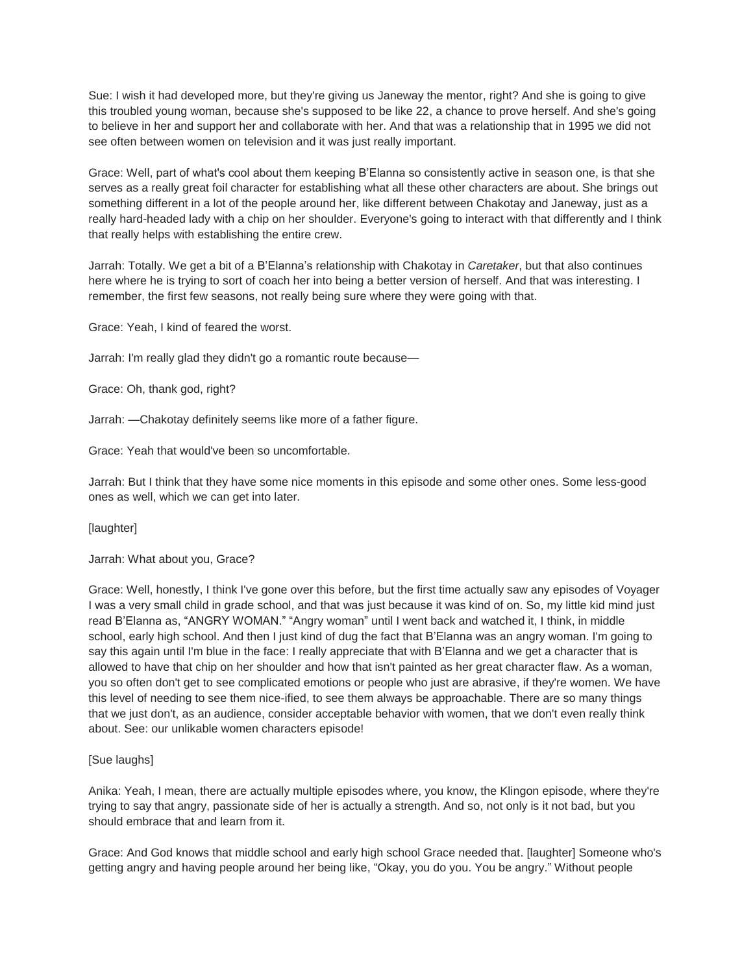Sue: I wish it had developed more, but they're giving us Janeway the mentor, right? And she is going to give this troubled young woman, because she's supposed to be like 22, a chance to prove herself. And she's going to believe in her and support her and collaborate with her. And that was a relationship that in 1995 we did not see often between women on television and it was just really important.

Grace: Well, part of what's cool about them keeping B'Elanna so consistently active in season one, is that she serves as a really great foil character for establishing what all these other characters are about. She brings out something different in a lot of the people around her, like different between Chakotay and Janeway, just as a really hard-headed lady with a chip on her shoulder. Everyone's going to interact with that differently and I think that really helps with establishing the entire crew.

Jarrah: Totally. We get a bit of a B'Elanna's relationship with Chakotay in *Caretaker*, but that also continues here where he is trying to sort of coach her into being a better version of herself. And that was interesting. I remember, the first few seasons, not really being sure where they were going with that.

Grace: Yeah, I kind of feared the worst.

Jarrah: I'm really glad they didn't go a romantic route because—

Grace: Oh, thank god, right?

Jarrah: —Chakotay definitely seems like more of a father figure.

Grace: Yeah that would've been so uncomfortable.

Jarrah: But I think that they have some nice moments in this episode and some other ones. Some less-good ones as well, which we can get into later.

[laughter]

Jarrah: What about you, Grace?

Grace: Well, honestly, I think I've gone over this before, but the first time actually saw any episodes of Voyager I was a very small child in grade school, and that was just because it was kind of on. So, my little kid mind just read B'Elanna as, "ANGRY WOMAN." "Angry woman" until I went back and watched it, I think, in middle school, early high school. And then I just kind of dug the fact that B'Elanna was an angry woman. I'm going to say this again until I'm blue in the face: I really appreciate that with B'Elanna and we get a character that is allowed to have that chip on her shoulder and how that isn't painted as her great character flaw. As a woman, you so often don't get to see complicated emotions or people who just are abrasive, if they're women. We have this level of needing to see them nice-ified, to see them always be approachable. There are so many things that we just don't, as an audience, consider acceptable behavior with women, that we don't even really think about. See: our unlikable women characters episode!

## [Sue laughs]

Anika: Yeah, I mean, there are actually multiple episodes where, you know, the Klingon episode, where they're trying to say that angry, passionate side of her is actually a strength. And so, not only is it not bad, but you should embrace that and learn from it.

Grace: And God knows that middle school and early high school Grace needed that. [laughter] Someone who's getting angry and having people around her being like, "Okay, you do you. You be angry." Without people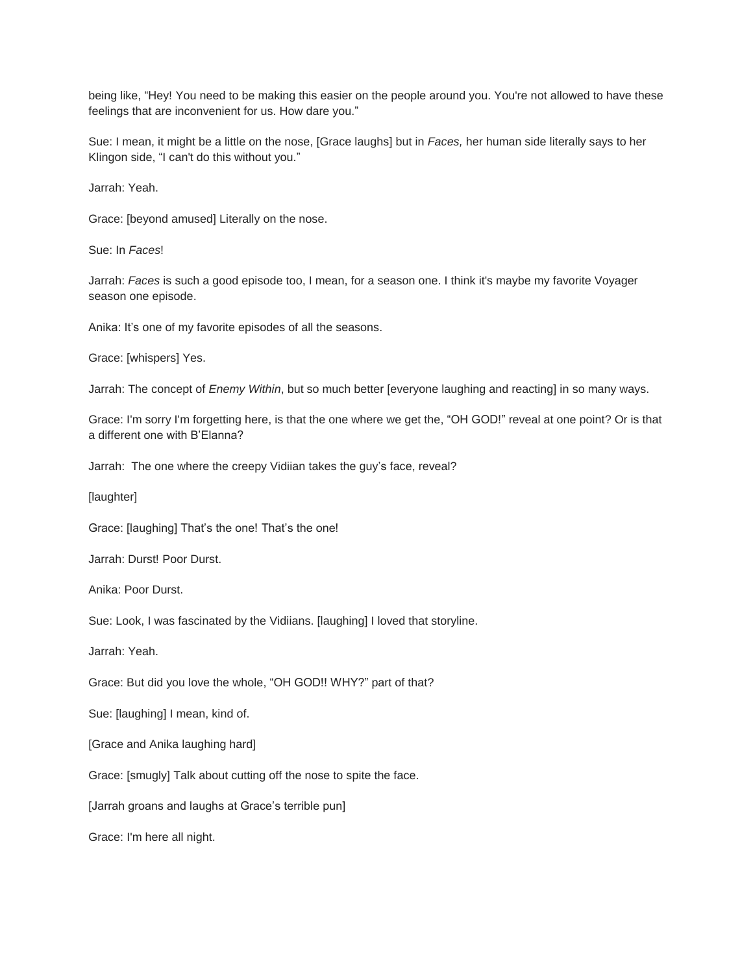being like, "Hey! You need to be making this easier on the people around you. You're not allowed to have these feelings that are inconvenient for us. How dare you."

Sue: I mean, it might be a little on the nose, [Grace laughs] but in *Faces,* her human side literally says to her Klingon side, "I can't do this without you."

Jarrah: Yeah.

Grace: [beyond amused] Literally on the nose.

Sue: In *Faces*!

Jarrah: *Faces* is such a good episode too, I mean, for a season one. I think it's maybe my favorite Voyager season one episode.

Anika: It's one of my favorite episodes of all the seasons.

Grace: [whispers] Yes.

Jarrah: The concept of *Enemy Within*, but so much better [everyone laughing and reacting] in so many ways.

Grace: I'm sorry I'm forgetting here, is that the one where we get the, "OH GOD!" reveal at one point? Or is that a different one with B'Elanna?

Jarrah: The one where the creepy Vidiian takes the guy's face, reveal?

[laughter]

Grace: [laughing] That's the one! That's the one!

Jarrah: Durst! Poor Durst.

Anika: Poor Durst.

Sue: Look, I was fascinated by the Vidiians. [laughing] I loved that storyline.

Jarrah: Yeah.

Grace: But did you love the whole, "OH GOD!! WHY?" part of that?

Sue: [laughing] I mean, kind of.

[Grace and Anika laughing hard]

Grace: [smugly] Talk about cutting off the nose to spite the face.

[Jarrah groans and laughs at Grace's terrible pun]

Grace: I'm here all night.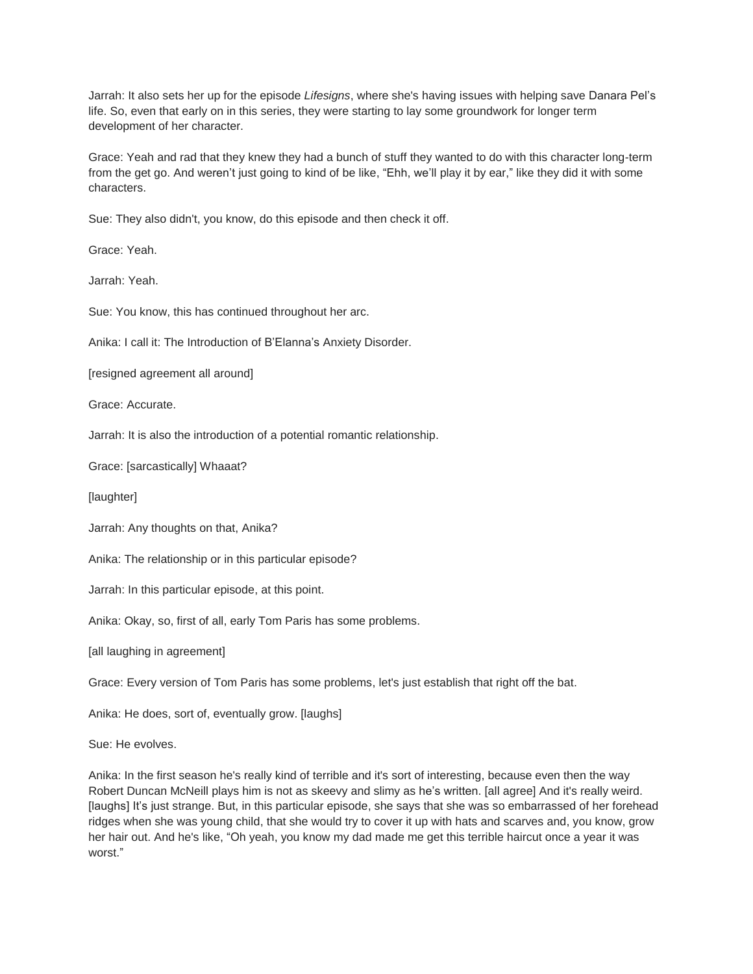Jarrah: It also sets her up for the episode *Lifesigns*, where she's having issues with helping save Danara Pel's life. So, even that early on in this series, they were starting to lay some groundwork for longer term development of her character.

Grace: Yeah and rad that they knew they had a bunch of stuff they wanted to do with this character long-term from the get go. And weren't just going to kind of be like, "Ehh, we'll play it by ear," like they did it with some characters.

Sue: They also didn't, you know, do this episode and then check it off.

Grace: Yeah.

Jarrah: Yeah.

Sue: You know, this has continued throughout her arc.

Anika: I call it: The Introduction of B'Elanna's Anxiety Disorder.

[resigned agreement all around]

Grace: Accurate.

Jarrah: It is also the introduction of a potential romantic relationship.

Grace: [sarcastically] Whaaat?

[laughter]

Jarrah: Any thoughts on that, Anika?

Anika: The relationship or in this particular episode?

Jarrah: In this particular episode, at this point.

Anika: Okay, so, first of all, early Tom Paris has some problems.

[all laughing in agreement]

Grace: Every version of Tom Paris has some problems, let's just establish that right off the bat.

Anika: He does, sort of, eventually grow. [laughs]

Sue: He evolves.

Anika: In the first season he's really kind of terrible and it's sort of interesting, because even then the way Robert Duncan McNeill plays him is not as skeevy and slimy as he's written. [all agree] And it's really weird. [laughs] It's just strange. But, in this particular episode, she says that she was so embarrassed of her forehead ridges when she was young child, that she would try to cover it up with hats and scarves and, you know, grow her hair out. And he's like, "Oh yeah, you know my dad made me get this terrible haircut once a year it was worst."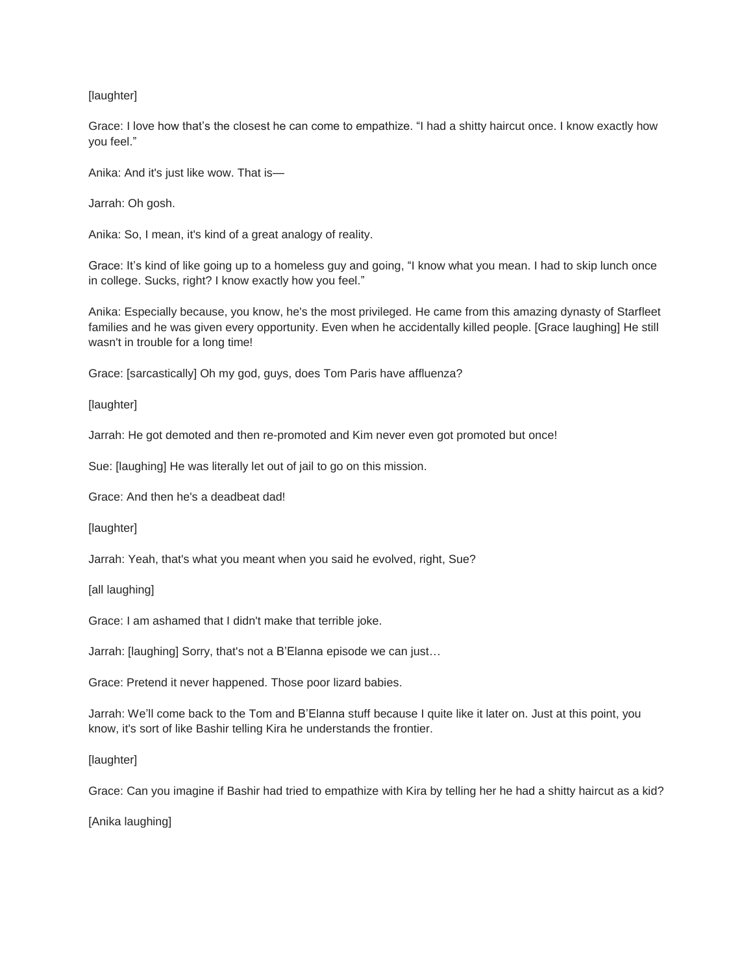# [laughter]

Grace: I love how that's the closest he can come to empathize. "I had a shitty haircut once. I know exactly how you feel."

Anika: And it's just like wow. That is—

Jarrah: Oh gosh.

Anika: So, I mean, it's kind of a great analogy of reality.

Grace: It's kind of like going up to a homeless guy and going, "I know what you mean. I had to skip lunch once in college. Sucks, right? I know exactly how you feel."

Anika: Especially because, you know, he's the most privileged. He came from this amazing dynasty of Starfleet families and he was given every opportunity. Even when he accidentally killed people. [Grace laughing] He still wasn't in trouble for a long time!

Grace: [sarcastically] Oh my god, guys, does Tom Paris have affluenza?

[laughter]

Jarrah: He got demoted and then re-promoted and Kim never even got promoted but once!

Sue: [laughing] He was literally let out of jail to go on this mission.

Grace: And then he's a deadbeat dad!

[laughter]

Jarrah: Yeah, that's what you meant when you said he evolved, right, Sue?

[all laughing]

Grace: I am ashamed that I didn't make that terrible joke.

Jarrah: [laughing] Sorry, that's not a B'Elanna episode we can just…

Grace: Pretend it never happened. Those poor lizard babies.

Jarrah: We'll come back to the Tom and B'Elanna stuff because I quite like it later on. Just at this point, you know, it's sort of like Bashir telling Kira he understands the frontier.

[laughter]

Grace: Can you imagine if Bashir had tried to empathize with Kira by telling her he had a shitty haircut as a kid?

[Anika laughing]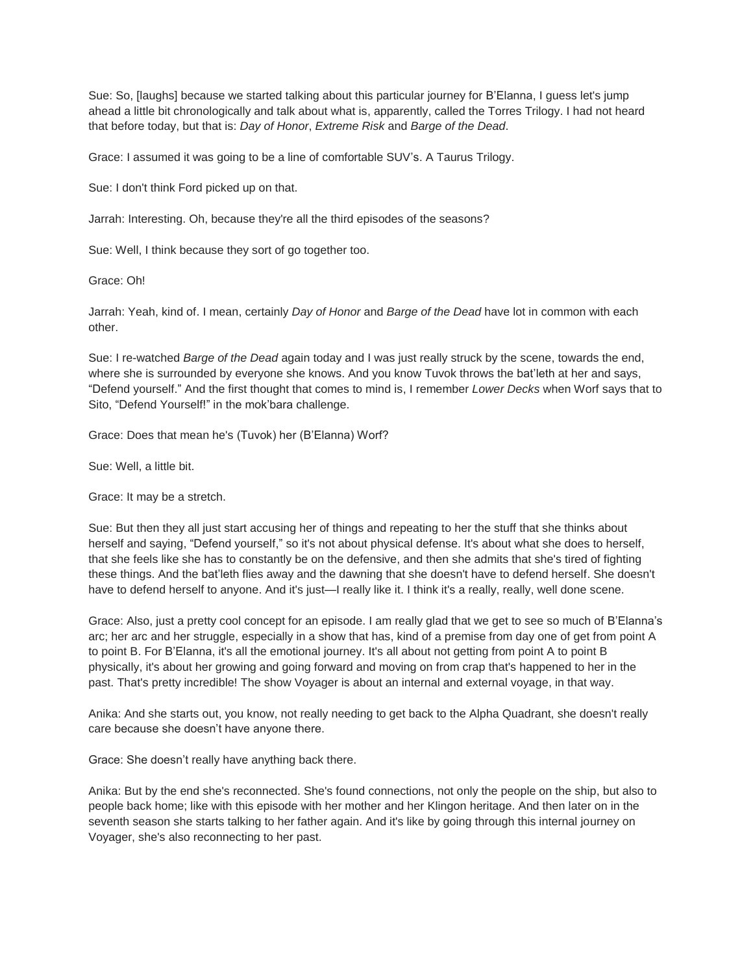Sue: So, [laughs] because we started talking about this particular journey for B'Elanna, I guess let's jump ahead a little bit chronologically and talk about what is, apparently, called the Torres Trilogy. I had not heard that before today, but that is: *Day of Honor*, *Extreme Risk* and *Barge of the Dead*.

Grace: I assumed it was going to be a line of comfortable SUV's. A Taurus Trilogy.

Sue: I don't think Ford picked up on that.

Jarrah: Interesting. Oh, because they're all the third episodes of the seasons?

Sue: Well, I think because they sort of go together too.

Grace: Oh!

Jarrah: Yeah, kind of. I mean, certainly *Day of Honor* and *Barge of the Dead* have lot in common with each other.

Sue: I re-watched *Barge of the Dead* again today and I was just really struck by the scene, towards the end, where she is surrounded by everyone she knows. And you know Tuvok throws the bat'leth at her and says, "Defend yourself." And the first thought that comes to mind is, I remember *Lower Decks* when Worf says that to Sito, "Defend Yourself!" in the mok'bara challenge.

Grace: Does that mean he's (Tuvok) her (B'Elanna) Worf?

Sue: Well, a little bit.

Grace: It may be a stretch.

Sue: But then they all just start accusing her of things and repeating to her the stuff that she thinks about herself and saying, "Defend yourself," so it's not about physical defense. It's about what she does to herself, that she feels like she has to constantly be on the defensive, and then she admits that she's tired of fighting these things. And the bat'leth flies away and the dawning that she doesn't have to defend herself. She doesn't have to defend herself to anyone. And it's just—I really like it. I think it's a really, really, well done scene.

Grace: Also, just a pretty cool concept for an episode. I am really glad that we get to see so much of B'Elanna's arc; her arc and her struggle, especially in a show that has, kind of a premise from day one of get from point A to point B. For B'Elanna, it's all the emotional journey. It's all about not getting from point A to point B physically, it's about her growing and going forward and moving on from crap that's happened to her in the past. That's pretty incredible! The show Voyager is about an internal and external voyage, in that way.

Anika: And she starts out, you know, not really needing to get back to the Alpha Quadrant, she doesn't really care because she doesn't have anyone there.

Grace: She doesn't really have anything back there.

Anika: But by the end she's reconnected. She's found connections, not only the people on the ship, but also to people back home; like with this episode with her mother and her Klingon heritage. And then later on in the seventh season she starts talking to her father again. And it's like by going through this internal journey on Voyager, she's also reconnecting to her past.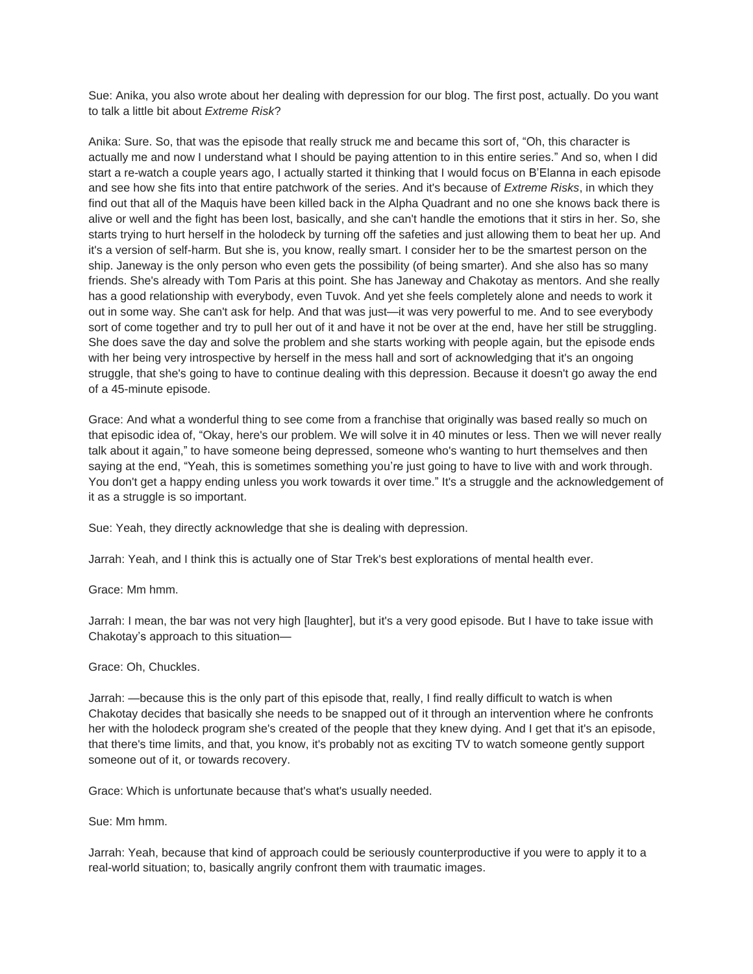Sue: Anika, you also wrote about her dealing with depression for our blog. The first post, actually. Do you want to talk a little bit about *Extreme Risk*?

Anika: Sure. So, that was the episode that really struck me and became this sort of, "Oh, this character is actually me and now I understand what I should be paying attention to in this entire series." And so, when I did start a re-watch a couple years ago, I actually started it thinking that I would focus on B'Elanna in each episode and see how she fits into that entire patchwork of the series. And it's because of *Extreme Risks*, in which they find out that all of the Maquis have been killed back in the Alpha Quadrant and no one she knows back there is alive or well and the fight has been lost, basically, and she can't handle the emotions that it stirs in her. So, she starts trying to hurt herself in the holodeck by turning off the safeties and just allowing them to beat her up. And it's a version of self-harm. But she is, you know, really smart. I consider her to be the smartest person on the ship. Janeway is the only person who even gets the possibility (of being smarter). And she also has so many friends. She's already with Tom Paris at this point. She has Janeway and Chakotay as mentors. And she really has a good relationship with everybody, even Tuvok. And yet she feels completely alone and needs to work it out in some way. She can't ask for help. And that was just—it was very powerful to me. And to see everybody sort of come together and try to pull her out of it and have it not be over at the end, have her still be struggling. She does save the day and solve the problem and she starts working with people again, but the episode ends with her being very introspective by herself in the mess hall and sort of acknowledging that it's an ongoing struggle, that she's going to have to continue dealing with this depression. Because it doesn't go away the end of a 45-minute episode.

Grace: And what a wonderful thing to see come from a franchise that originally was based really so much on that episodic idea of, "Okay, here's our problem. We will solve it in 40 minutes or less. Then we will never really talk about it again," to have someone being depressed, someone who's wanting to hurt themselves and then saying at the end, "Yeah, this is sometimes something you're just going to have to live with and work through. You don't get a happy ending unless you work towards it over time." It's a struggle and the acknowledgement of it as a struggle is so important.

Sue: Yeah, they directly acknowledge that she is dealing with depression.

Jarrah: Yeah, and I think this is actually one of Star Trek's best explorations of mental health ever.

Grace: Mm hmm.

Jarrah: I mean, the bar was not very high [laughter], but it's a very good episode. But I have to take issue with Chakotay's approach to this situation—

#### Grace: Oh, Chuckles.

Jarrah: —because this is the only part of this episode that, really, I find really difficult to watch is when Chakotay decides that basically she needs to be snapped out of it through an intervention where he confronts her with the holodeck program she's created of the people that they knew dying. And I get that it's an episode, that there's time limits, and that, you know, it's probably not as exciting TV to watch someone gently support someone out of it, or towards recovery.

Grace: Which is unfortunate because that's what's usually needed.

Sue: Mm hmm.

Jarrah: Yeah, because that kind of approach could be seriously counterproductive if you were to apply it to a real-world situation; to, basically angrily confront them with traumatic images.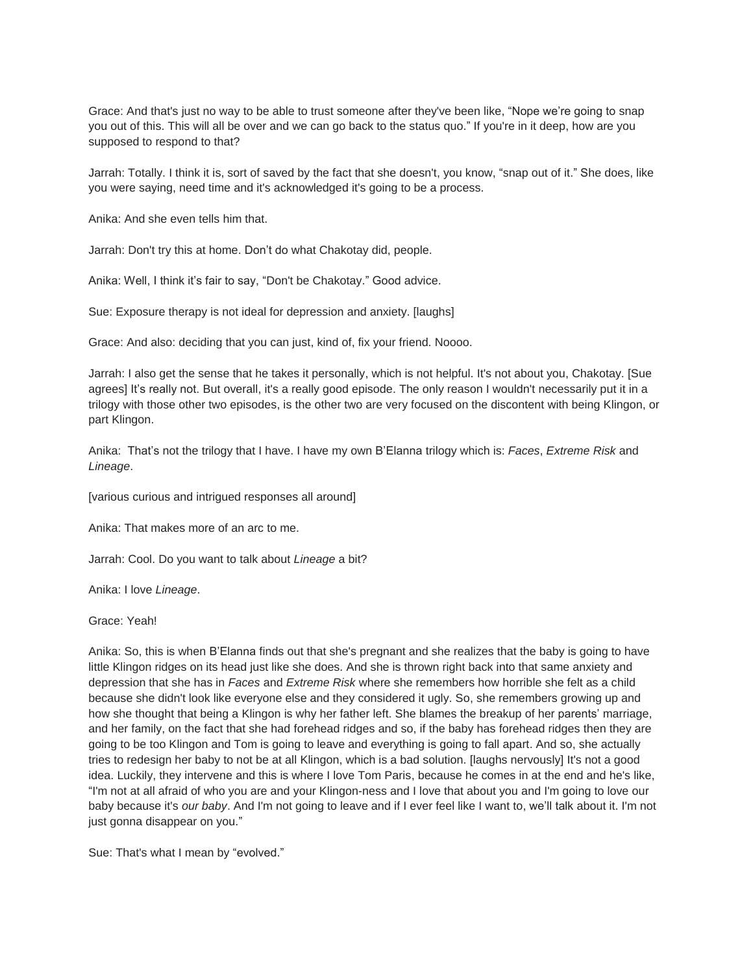Grace: And that's just no way to be able to trust someone after they've been like, "Nope we're going to snap you out of this. This will all be over and we can go back to the status quo." If you're in it deep, how are you supposed to respond to that?

Jarrah: Totally. I think it is, sort of saved by the fact that she doesn't, you know, "snap out of it." She does, like you were saying, need time and it's acknowledged it's going to be a process.

Anika: And she even tells him that.

Jarrah: Don't try this at home. Don't do what Chakotay did, people.

Anika: Well, I think it's fair to say, "Don't be Chakotay." Good advice.

Sue: Exposure therapy is not ideal for depression and anxiety. [laughs]

Grace: And also: deciding that you can just, kind of, fix your friend. Noooo.

Jarrah: I also get the sense that he takes it personally, which is not helpful. It's not about you, Chakotay. [Sue agrees] It's really not. But overall, it's a really good episode. The only reason I wouldn't necessarily put it in a trilogy with those other two episodes, is the other two are very focused on the discontent with being Klingon, or part Klingon.

Anika: That's not the trilogy that I have. I have my own B'Elanna trilogy which is: *Faces*, *Extreme Risk* and *Lineage*.

[various curious and intrigued responses all around]

Anika: That makes more of an arc to me.

Jarrah: Cool. Do you want to talk about *Lineage* a bit?

Anika: I love *Lineage*.

Grace: Yeah!

Anika: So, this is when B'Elanna finds out that she's pregnant and she realizes that the baby is going to have little Klingon ridges on its head just like she does. And she is thrown right back into that same anxiety and depression that she has in *Faces* and *Extreme Risk* where she remembers how horrible she felt as a child because she didn't look like everyone else and they considered it ugly. So, she remembers growing up and how she thought that being a Klingon is why her father left. She blames the breakup of her parents' marriage, and her family, on the fact that she had forehead ridges and so, if the baby has forehead ridges then they are going to be too Klingon and Tom is going to leave and everything is going to fall apart. And so, she actually tries to redesign her baby to not be at all Klingon, which is a bad solution. [laughs nervously] It's not a good idea. Luckily, they intervene and this is where I love Tom Paris, because he comes in at the end and he's like, "I'm not at all afraid of who you are and your Klingon-ness and I love that about you and I'm going to love our baby because it's *our baby*. And I'm not going to leave and if I ever feel like I want to, we'll talk about it. I'm not just gonna disappear on you."

Sue: That's what I mean by "evolved."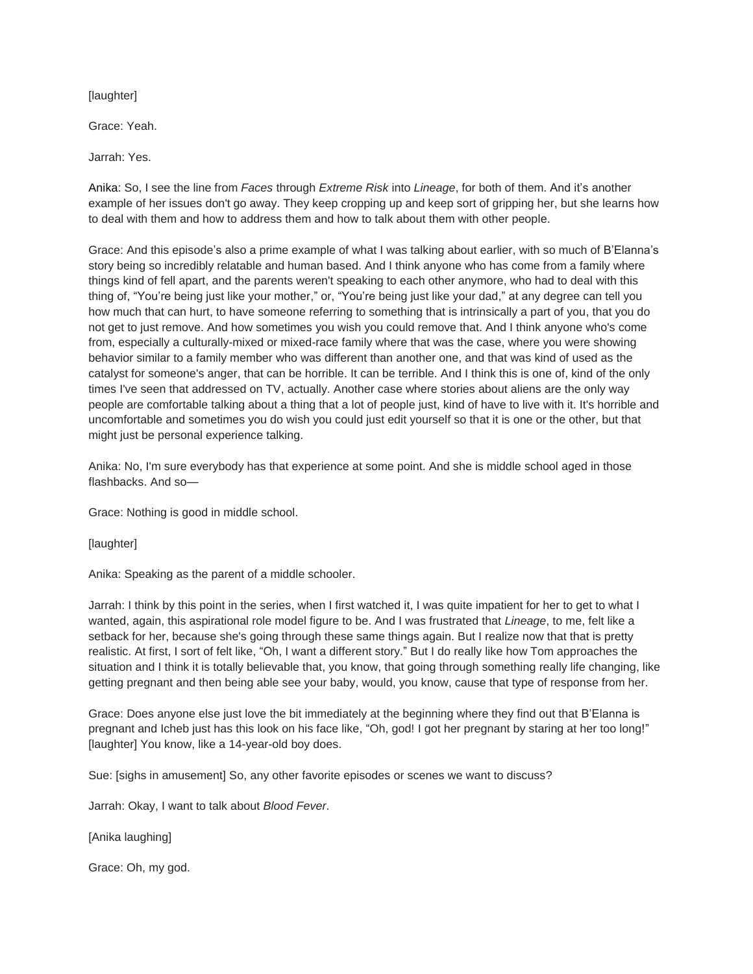[laughter]

Grace: Yeah.

Jarrah: Yes.

Anika: So, I see the line from *Faces* through *Extreme Risk* into *Lineage*, for both of them. And it's another example of her issues don't go away. They keep cropping up and keep sort of gripping her, but she learns how to deal with them and how to address them and how to talk about them with other people.

Grace: And this episode's also a prime example of what I was talking about earlier, with so much of B'Elanna's story being so incredibly relatable and human based. And I think anyone who has come from a family where things kind of fell apart, and the parents weren't speaking to each other anymore, who had to deal with this thing of, "You're being just like your mother," or, "You're being just like your dad," at any degree can tell you how much that can hurt, to have someone referring to something that is intrinsically a part of you, that you do not get to just remove. And how sometimes you wish you could remove that. And I think anyone who's come from, especially a culturally-mixed or mixed-race family where that was the case, where you were showing behavior similar to a family member who was different than another one, and that was kind of used as the catalyst for someone's anger, that can be horrible. It can be terrible. And I think this is one of, kind of the only times I've seen that addressed on TV, actually. Another case where stories about aliens are the only way people are comfortable talking about a thing that a lot of people just, kind of have to live with it. It's horrible and uncomfortable and sometimes you do wish you could just edit yourself so that it is one or the other, but that might just be personal experience talking.

Anika: No, I'm sure everybody has that experience at some point. And she is middle school aged in those flashbacks. And so—

Grace: Nothing is good in middle school.

[laughter]

Anika: Speaking as the parent of a middle schooler.

Jarrah: I think by this point in the series, when I first watched it, I was quite impatient for her to get to what I wanted, again, this aspirational role model figure to be. And I was frustrated that *Lineage*, to me, felt like a setback for her, because she's going through these same things again. But I realize now that that is pretty realistic. At first, I sort of felt like, "Oh, I want a different story." But I do really like how Tom approaches the situation and I think it is totally believable that, you know, that going through something really life changing, like getting pregnant and then being able see your baby, would, you know, cause that type of response from her.

Grace: Does anyone else just love the bit immediately at the beginning where they find out that B'Elanna is pregnant and Icheb just has this look on his face like, "Oh, god! I got her pregnant by staring at her too long!" [laughter] You know, like a 14-year-old boy does.

Sue: [sighs in amusement] So, any other favorite episodes or scenes we want to discuss?

Jarrah: Okay, I want to talk about *Blood Fever*.

[Anika laughing]

Grace: Oh, my god.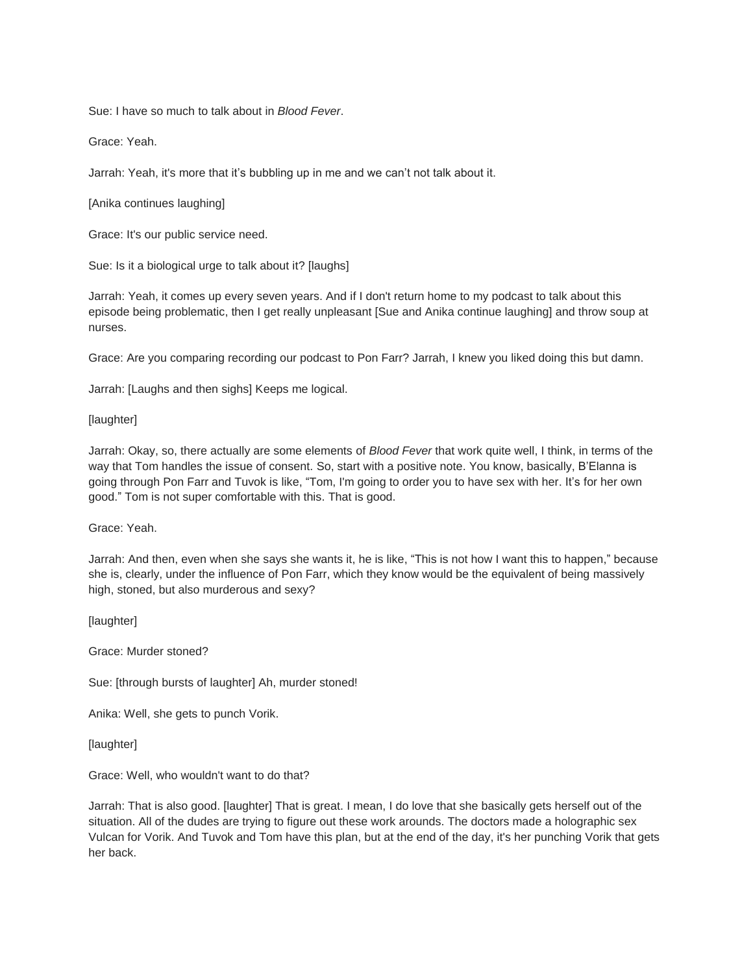Sue: I have so much to talk about in *Blood Fever*.

Grace: Yeah.

Jarrah: Yeah, it's more that it's bubbling up in me and we can't not talk about it.

[Anika continues laughing]

Grace: It's our public service need.

Sue: Is it a biological urge to talk about it? [laughs]

Jarrah: Yeah, it comes up every seven years. And if I don't return home to my podcast to talk about this episode being problematic, then I get really unpleasant [Sue and Anika continue laughing] and throw soup at nurses.

Grace: Are you comparing recording our podcast to Pon Farr? Jarrah, I knew you liked doing this but damn.

Jarrah: [Laughs and then sighs] Keeps me logical.

[laughter]

Jarrah: Okay, so, there actually are some elements of *Blood Fever* that work quite well, I think, in terms of the way that Tom handles the issue of consent. So, start with a positive note. You know, basically, B'Elanna is going through Pon Farr and Tuvok is like, "Tom, I'm going to order you to have sex with her. It's for her own good." Tom is not super comfortable with this. That is good.

Grace: Yeah.

Jarrah: And then, even when she says she wants it, he is like, "This is not how I want this to happen," because she is, clearly, under the influence of Pon Farr, which they know would be the equivalent of being massively high, stoned, but also murderous and sexy?

[laughter]

Grace: Murder stoned?

Sue: [through bursts of laughter] Ah, murder stoned!

Anika: Well, she gets to punch Vorik.

[laughter]

Grace: Well, who wouldn't want to do that?

Jarrah: That is also good. [laughter] That is great. I mean, I do love that she basically gets herself out of the situation. All of the dudes are trying to figure out these work arounds. The doctors made a holographic sex Vulcan for Vorik. And Tuvok and Tom have this plan, but at the end of the day, it's her punching Vorik that gets her back.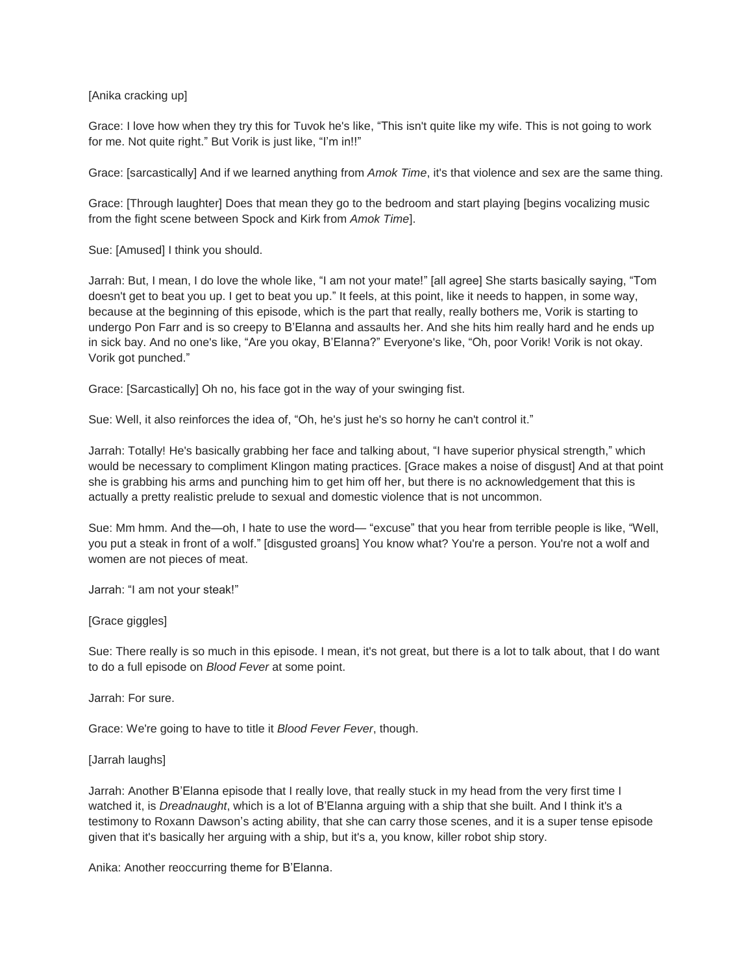[Anika cracking up]

Grace: I love how when they try this for Tuvok he's like, "This isn't quite like my wife. This is not going to work for me. Not quite right." But Vorik is just like, "I'm in!!"

Grace: [sarcastically] And if we learned anything from *Amok Time*, it's that violence and sex are the same thing.

Grace: [Through laughter] Does that mean they go to the bedroom and start playing [begins vocalizing music from the fight scene between Spock and Kirk from *Amok Time*].

Sue: [Amused] I think you should.

Jarrah: But, I mean, I do love the whole like, "I am not your mate!" [all agree] She starts basically saying, "Tom doesn't get to beat you up. I get to beat you up." It feels, at this point, like it needs to happen, in some way, because at the beginning of this episode, which is the part that really, really bothers me, Vorik is starting to undergo Pon Farr and is so creepy to B'Elanna and assaults her. And she hits him really hard and he ends up in sick bay. And no one's like, "Are you okay, B'Elanna?" Everyone's like, "Oh, poor Vorik! Vorik is not okay. Vorik got punched."

Grace: [Sarcastically] Oh no, his face got in the way of your swinging fist.

Sue: Well, it also reinforces the idea of, "Oh, he's just he's so horny he can't control it."

Jarrah: Totally! He's basically grabbing her face and talking about, "I have superior physical strength," which would be necessary to compliment Klingon mating practices. [Grace makes a noise of disgust] And at that point she is grabbing his arms and punching him to get him off her, but there is no acknowledgement that this is actually a pretty realistic prelude to sexual and domestic violence that is not uncommon.

Sue: Mm hmm. And the—oh, I hate to use the word— "excuse" that you hear from terrible people is like, "Well, you put a steak in front of a wolf." [disgusted groans] You know what? You're a person. You're not a wolf and women are not pieces of meat.

Jarrah: "I am not your steak!"

[Grace giggles]

Sue: There really is so much in this episode. I mean, it's not great, but there is a lot to talk about, that I do want to do a full episode on *Blood Fever* at some point.

Jarrah: For sure.

Grace: We're going to have to title it *Blood Fever Fever*, though.

[Jarrah laughs]

Jarrah: Another B'Elanna episode that I really love, that really stuck in my head from the very first time I watched it, is *Dreadnaught*, which is a lot of B'Elanna arguing with a ship that she built. And I think it's a testimony to Roxann Dawson's acting ability, that she can carry those scenes, and it is a super tense episode given that it's basically her arguing with a ship, but it's a, you know, killer robot ship story.

Anika: Another reoccurring theme for B'Elanna.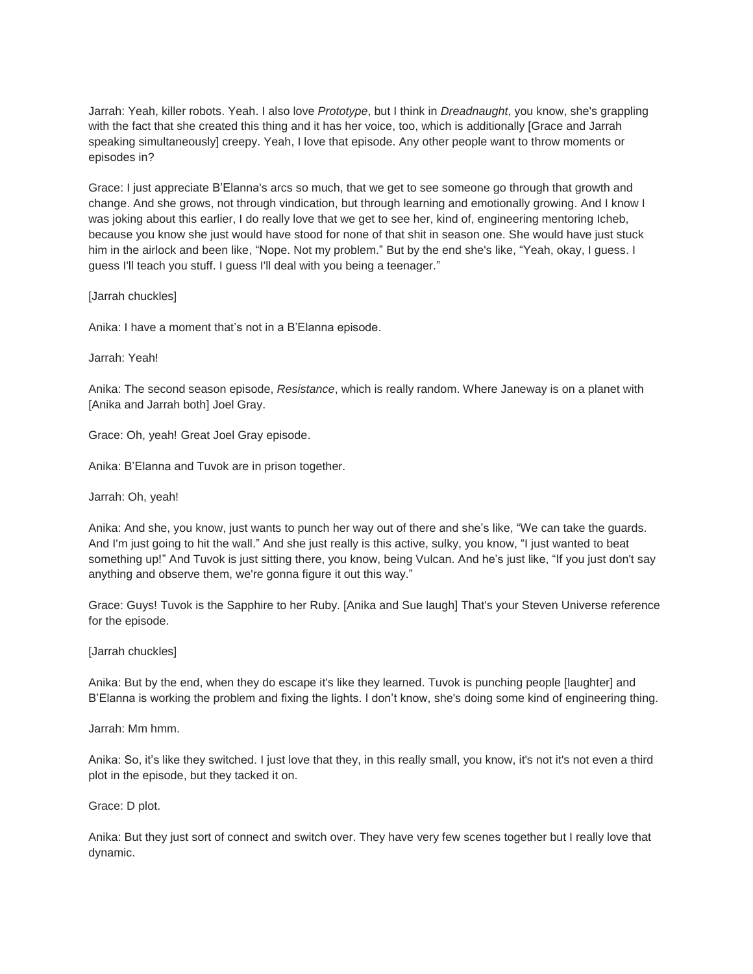Jarrah: Yeah, killer robots. Yeah. I also love *Prototype*, but I think in *Dreadnaught*, you know, she's grappling with the fact that she created this thing and it has her voice, too, which is additionally [Grace and Jarrah speaking simultaneously] creepy. Yeah, I love that episode. Any other people want to throw moments or episodes in?

Grace: I just appreciate B'Elanna's arcs so much, that we get to see someone go through that growth and change. And she grows, not through vindication, but through learning and emotionally growing. And I know I was joking about this earlier, I do really love that we get to see her, kind of, engineering mentoring Icheb, because you know she just would have stood for none of that shit in season one. She would have just stuck him in the airlock and been like, "Nope. Not my problem." But by the end she's like, "Yeah, okay, I guess. I guess I'll teach you stuff. I guess I'll deal with you being a teenager."

[Jarrah chuckles]

Anika: I have a moment that's not in a B'Elanna episode.

Jarrah: Yeah!

Anika: The second season episode, *Resistance*, which is really random. Where Janeway is on a planet with [Anika and Jarrah both] Joel Gray.

Grace: Oh, yeah! Great Joel Gray episode.

Anika: B'Elanna and Tuvok are in prison together.

Jarrah: Oh, yeah!

Anika: And she, you know, just wants to punch her way out of there and she's like, "We can take the guards. And I'm just going to hit the wall." And she just really is this active, sulky, you know, "I just wanted to beat something up!" And Tuvok is just sitting there, you know, being Vulcan. And he's just like, "If you just don't say anything and observe them, we're gonna figure it out this way."

Grace: Guys! Tuvok is the Sapphire to her Ruby. [Anika and Sue laugh] That's your Steven Universe reference for the episode.

[Jarrah chuckles]

Anika: But by the end, when they do escape it's like they learned. Tuvok is punching people [laughter] and B'Elanna is working the problem and fixing the lights. I don't know, she's doing some kind of engineering thing.

Jarrah: Mm hmm.

Anika: So, it's like they switched. I just love that they, in this really small, you know, it's not it's not even a third plot in the episode, but they tacked it on.

Grace: D plot.

Anika: But they just sort of connect and switch over. They have very few scenes together but I really love that dynamic.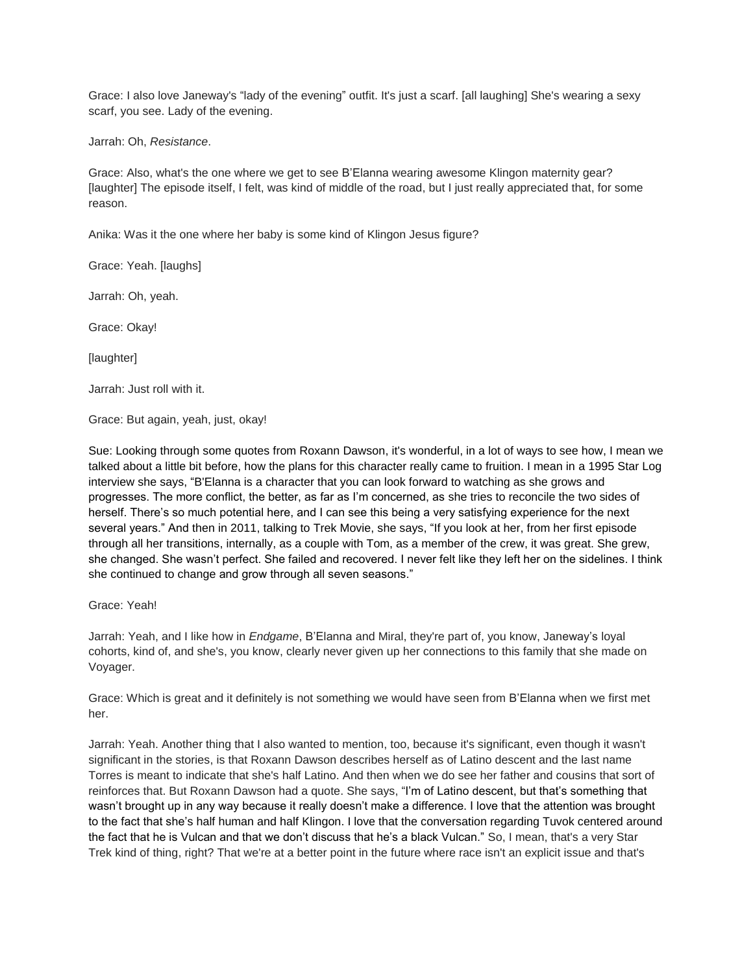Grace: I also love Janeway's "lady of the evening" outfit. It's just a scarf. [all laughing] She's wearing a sexy scarf, you see. Lady of the evening.

Jarrah: Oh, *Resistance*.

Grace: Also, what's the one where we get to see B'Elanna wearing awesome Klingon maternity gear? [laughter] The episode itself, I felt, was kind of middle of the road, but I just really appreciated that, for some reason.

Anika: Was it the one where her baby is some kind of Klingon Jesus figure?

Grace: Yeah. [laughs]

Jarrah: Oh, yeah.

Grace: Okay!

[laughter]

Jarrah: Just roll with it.

Grace: But again, yeah, just, okay!

Sue: Looking through some quotes from Roxann Dawson, it's wonderful, in a lot of ways to see how, I mean we talked about a little bit before, how the plans for this character really came to fruition. I mean in a 1995 Star Log interview she says, "B'Elanna is a character that you can look forward to watching as she grows and progresses. The more conflict, the better, as far as I'm concerned, as she tries to reconcile the two sides of herself. There's so much potential here, and I can see this being a very satisfying experience for the next several years." And then in 2011, talking to Trek Movie, she says, "If you look at her, from her first episode through all her transitions, internally, as a couple with Tom, as a member of the crew, it was great. She grew, she changed. She wasn't perfect. She failed and recovered. I never felt like they left her on the sidelines. I think she continued to change and grow through all seven seasons."

#### Grace: Yeah!

Jarrah: Yeah, and I like how in *Endgame*, B'Elanna and Miral, they're part of, you know, Janeway's loyal cohorts, kind of, and she's, you know, clearly never given up her connections to this family that she made on Voyager.

Grace: Which is great and it definitely is not something we would have seen from B'Elanna when we first met her.

Jarrah: Yeah. Another thing that I also wanted to mention, too, because it's significant, even though it wasn't significant in the stories, is that Roxann Dawson describes herself as of Latino descent and the last name Torres is meant to indicate that she's half Latino. And then when we do see her father and cousins that sort of reinforces that. But Roxann Dawson had a quote. She says, "I'm of Latino descent, but that's something that wasn't brought up in any way because it really doesn't make a difference. I love that the attention was brought to the fact that she's half human and half Klingon. I love that the conversation regarding Tuvok centered around the fact that he is Vulcan and that we don't discuss that he's a black Vulcan." So, I mean, that's a very Star Trek kind of thing, right? That we're at a better point in the future where race isn't an explicit issue and that's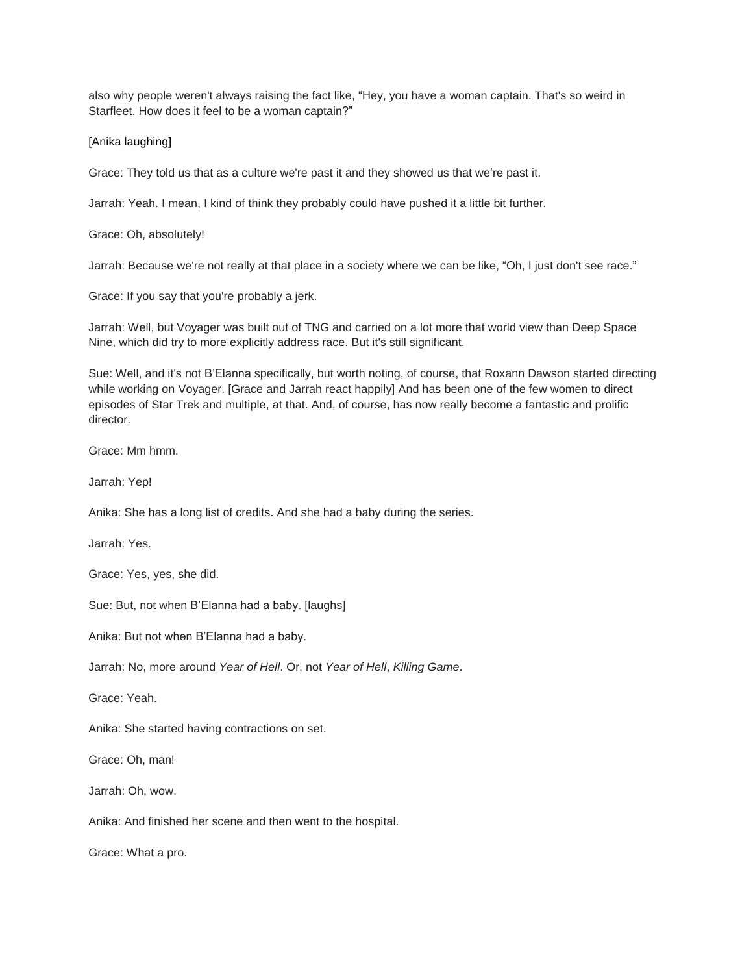also why people weren't always raising the fact like, "Hey, you have a woman captain. That's so weird in Starfleet. How does it feel to be a woman captain?"

## [Anika laughing]

Grace: They told us that as a culture we're past it and they showed us that we're past it.

Jarrah: Yeah. I mean, I kind of think they probably could have pushed it a little bit further.

Grace: Oh, absolutely!

Jarrah: Because we're not really at that place in a society where we can be like, "Oh, I just don't see race."

Grace: If you say that you're probably a jerk.

Jarrah: Well, but Voyager was built out of TNG and carried on a lot more that world view than Deep Space Nine, which did try to more explicitly address race. But it's still significant.

Sue: Well, and it's not B'Elanna specifically, but worth noting, of course, that Roxann Dawson started directing while working on Voyager. [Grace and Jarrah react happily] And has been one of the few women to direct episodes of Star Trek and multiple, at that. And, of course, has now really become a fantastic and prolific director.

Grace: Mm hmm.

Jarrah: Yep!

Anika: She has a long list of credits. And she had a baby during the series.

Jarrah: Yes.

Grace: Yes, yes, she did.

Sue: But, not when B'Elanna had a baby. [laughs]

Anika: But not when B'Elanna had a baby.

Jarrah: No, more around *Year of Hell*. Or, not *Year of Hell*, *Killing Game*.

Grace: Yeah.

Anika: She started having contractions on set.

Grace: Oh, man!

Jarrah: Oh, wow.

Anika: And finished her scene and then went to the hospital.

Grace: What a pro.